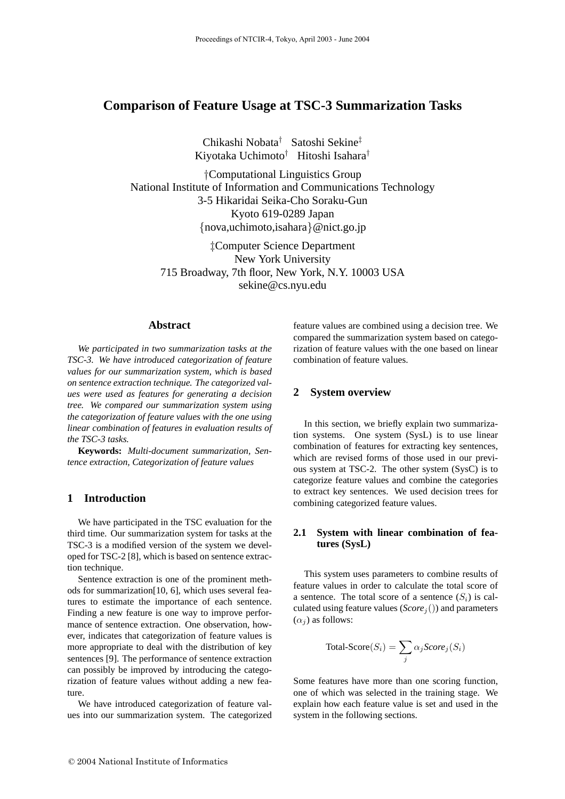# **Comparison of Feature Usage at TSC-3 Summarization Tasks**

Chikashi Nobata† Satoshi Sekine‡ Kiyotaka Uchimoto† Hitoshi Isahara†

†Computational Linguistics Group National Institute of Information and Communications Technology 3-5 Hikaridai Seika-Cho Soraku-Gun Kyoto 619-0289 Japan {nova,uchimoto,isahara}@nict.go.jp

‡Computer Science Department New York University 715 Broadway, 7th floor, New York, N.Y. 10003 USA sekine@cs.nyu.edu

### **Abstract**

*We participated in two summarization tasks at the TSC-3. We have introduced categorization of feature values for our summarization system, which is based on sentence extraction technique. The categorized values were used as features for generating a decision tree. We compared our summarization system using the categorization of feature values with the one using linear combination of features in evaluation results of the TSC-3 tasks.*

**Keywords:** *Multi-document summarization, Sentence extraction, Categorization of feature values*

#### **1 Introduction**

We have participated in the TSC evaluation for the third time. Our summarization system for tasks at the TSC-3 is a modified version of the system we developed for TSC-2 [8], which is based on sentence extraction technique.

Sentence extraction is one of the prominent methods for summarization[10, 6], which uses several features to estimate the importance of each sentence. Finding a new feature is one way to improve performance of sentence extraction. One observation, however, indicates that categorization of feature values is more appropriate to deal with the distribution of key sentences [9]. The performance of sentence extraction can possibly be improved by introducing the categorization of feature values without adding a new feature.

We have introduced categorization of feature values into our summarization system. The categorized feature values are combined using a decision tree. We compared the summarization system based on categorization of feature values with the one based on linear combination of feature values.

## **2 System overview**

In this section, we briefly explain two summarization systems. One system (SysL) is to use linear combination of features for extracting key sentences, which are revised forms of those used in our previous system at TSC-2. The other system (SysC) is to categorize feature values and combine the categories to extract key sentences. We used decision trees for combining categorized feature values.

### **2.1 System with linear combination of features (SysL)**

This system uses parameters to combine results of feature values in order to calculate the total score of a sentence. The total score of a sentence  $(S_i)$  is calculated using feature values (*Score*<sup>j</sup> ()) and parameters  $(\alpha_i)$  as follows:

$$
Total\text{-}Score(S_i) = \sum_{j} \alpha_j Score_j(S_i)
$$

Some features have more than one scoring function, one of which was selected in the training stage. We explain how each feature value is set and used in the system in the following sections.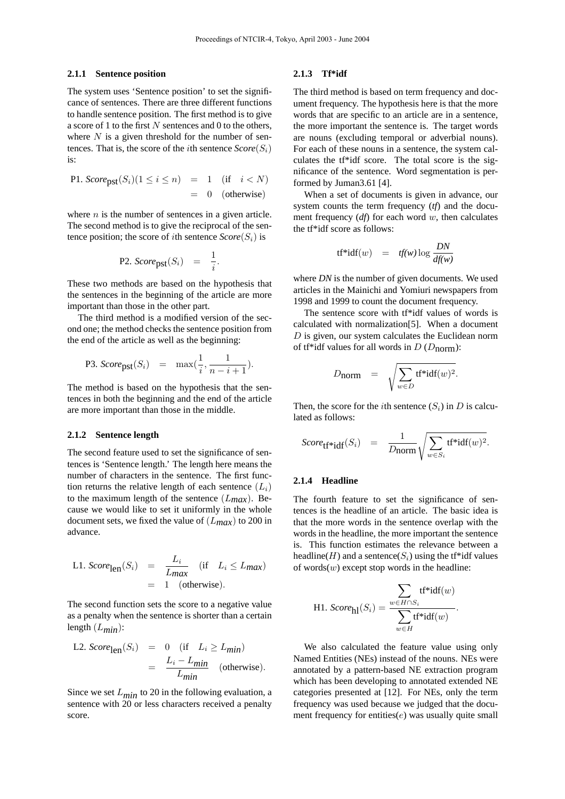#### **2.1.1 Sentence position**

The system uses 'Sentence position' to set the significance of sentences. There are three different functions to handle sentence position. The first method is to give a score of 1 to the first  $N$  sentences and 0 to the others, where  $N$  is a given threshold for the number of sentences. That is, the score of the *i*th sentence  $Score(S_i)$ is:

P1. 
$$
Score_{\text{pst}}(S_i)(1 \le i \le n) = 1
$$
 (if  $i < N$ )  
= 0 (otherwise)

where  $n$  is the number of sentences in a given article. The second method is to give the reciprocal of the sentence position; the score of *i*th sentence  $Score(S_i)$  is

P2. 
$$
Score_{\text{pst}}(S_i) = \frac{1}{i}
$$
.

These two methods are based on the hypothesis that the sentences in the beginning of the article are more important than those in the other part.

The third method is a modified version of the second one; the method checks the sentence position from the end of the article as well as the beginning:

P3. 
$$
Score_{\text{pst}}(S_i) = \max(\frac{1}{i}, \frac{1}{n-i+1}).
$$

The method is based on the hypothesis that the sentences in both the beginning and the end of the article are more important than those in the middle.

#### **2.1.2 Sentence length**

The second feature used to set the significance of sentences is 'Sentence length.' The length here means the number of characters in the sentence. The first function returns the relative length of each sentence  $(L_i)$ to the maximum length of the sentence  $(L_{max})$ . Because we would like to set it uniformly in the whole document sets, we fixed the value of (L*max*) to 200 in advance.

L1. 
$$
Score_{\text{len}}(S_i) = \frac{L_i}{L_{\text{max}}}
$$
 (if  $L_i \le L_{\text{max}}$ )  
= 1 (otherwise).

The second function sets the score to a negative value as a penalty when the sentence is shorter than a certain length (L*min*):

L2. 
$$
Score_{\text{len}}(S_i) = 0
$$
 (if  $L_i \ge L_{min}$ )  
=  $\frac{L_i - L_{min}}{L_{min}}$  (otherwise).

Since we set  $L_{min}$  to 20 in the following evaluation, a sentence with 20 or less characters received a penalty score.

#### **2.1.3 Tf\*idf**

The third method is based on term frequency and document frequency. The hypothesis here is that the more words that are specific to an article are in a sentence, the more important the sentence is. The target words are nouns (excluding temporal or adverbial nouns). For each of these nouns in a sentence, the system calculates the tf\*idf score. The total score is the significance of the sentence. Word segmentation is performed by Juman3.61 [4].

When a set of documents is given in advance, our system counts the term frequency (*tf*) and the document frequency (*df*) for each word w, then calculates the tf\*idf score as follows:

$$
tf^*idf(w) = tf(w) \log \frac{DN}{df(w)}
$$

where *DN* is the number of given documents. We used articles in the Mainichi and Yomiuri newspapers from 1998 and 1999 to count the document frequency.

The sentence score with tf\*idf values of words is calculated with normalization[5]. When a document  $D$  is given, our system calculates the Euclidean norm of tf\*idf values for all words in  $D(D_{norm})$ :

$$
D_{\text{norm}} = \sqrt{\sum_{w \in D} \text{tf*} \text{idf}(w)^2}.
$$

Then, the score for the *i*th sentence  $(S_i)$  in D is calculated as follows:

$$
Score_{\mathbf{tf}^* \mathbf{idf}}(S_i) = \frac{1}{D_{\text{norm}}} \sqrt{\sum_{w \in S_i} \mathbf{tf}^* \mathbf{idf}(w)^2}.
$$

#### **2.1.4 Headline**

The fourth feature to set the significance of sentences is the headline of an article. The basic idea is that the more words in the sentence overlap with the words in the headline, the more important the sentence is. This function estimates the relevance between a headline(H) and a sentence( $S_i$ ) using the tf\*idf values of words $(w)$  except stop words in the headline:

$$
\text{H1. }\mathit{Score}_{\text{hl}}(S_i) = \frac{\displaystyle\sum_{w \in H \cap S_i} \mathit{tf}^* \mathit{idf}(w)}{\displaystyle\sum_{w \in H} \mathit{tf}^* \mathit{idf}(w)}
$$

.

We also calculated the feature value using only Named Entities (NEs) instead of the nouns. NEs were annotated by a pattern-based NE extraction program which has been developing to annotated extended NE categories presented at [12]. For NEs, only the term frequency was used because we judged that the document frequency for entities $(e)$  was usually quite small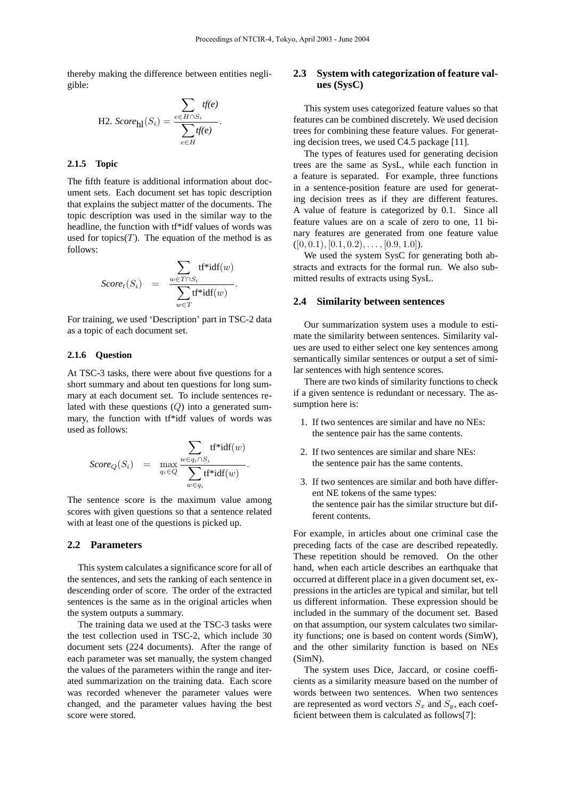thereby making the difference between entities negligible:

.

H2. 
$$
Score_{\text{hl}}(S_i) = \frac{\sum_{e \in H \cap S_i} tf(e)}{\sum_{e \in H} tf(e)}
$$

### **2.1.5 Topic**

The fifth feature is additional information about document sets. Each document set has topic description that explains the subject matter of the documents. The topic description was used in the similar way to the headline, the function with tf\*idf values of words was used for topics $(T)$ . The equation of the method is as follows:

$$
Score_t(S_i) = \frac{\sum_{w \in T \cap S_i} \text{tf*idf}(w)}{\sum_{w \in T} \text{tf*idf}(w)}.
$$

For training, we used 'Description' part in TSC-2 data as a topic of each document set.

#### **2.1.6 Question**

At TSC-3 tasks, there were about five questions for a short summary and about ten questions for long summary at each document set. To include sentences related with these questions  $(Q)$  into a generated summary, the function with tf\*idf values of words was used as follows:

$$
Score_Q(S_i) = \max_{q_i \in Q} \frac{\sum_{w \in q_i \cap S_i} \text{tf*idf}(w)}{\sum_{w \in q_i} \text{tf*idf}(w)}.
$$

The sentence score is the maximum value among scores with given questions so that a sentence related with at least one of the questions is picked up.

#### **2.2 Parameters**

This system calculates a significance score for all of the sentences, and sets the ranking of each sentence in descending order of score. The order of the extracted sentences is the same as in the original articles when the system outputs a summary.

The training data we used at the TSC-3 tasks were the test collection used in TSC-2, which include 30 document sets (224 documents). After the range of each parameter was set manually, the system changed the values of the parameters within the range and iterated summarization on the training data. Each score was recorded whenever the parameter values were changed, and the parameter values having the best score were stored.

### **2.3 System with categorization of feature values (SysC)**

This system uses categorized feature values so that features can be combined discretely. We used decision trees for combining these feature values. For generating decision trees, we used C4.5 package [11].

The types of features used for generating decision trees are the same as SysL, while each function in a feature is separated. For example, three functions in a sentence-position feature are used for generating decision trees as if they are different features. A value of feature is categorized by 0.1. Since all feature values are on a scale of zero to one, 11 binary features are generated from one feature value  $([0, 0.1), [0.1, 0.2), \ldots, [0.9, 1.0]).$ 

We used the system SysC for generating both abstracts and extracts for the formal run. We also submitted results of extracts using SysL.

#### **2.4 Similarity between sentences**

Our summarization system uses a module to estimate the similarity between sentences. Similarity values are used to either select one key sentences among semantically similar sentences or output a set of similar sentences with high sentence scores.

There are two kinds of similarity functions to check if a given sentence is redundant or necessary. The assumption here is:

- 1. If two sentences are similar and have no NEs: the sentence pair has the same contents.
- 2. If two sentences are similar and share NEs: the sentence pair has the same contents.
- 3. If two sentences are similar and both have different NE tokens of the same types: the sentence pair has the similar structure but different contents.

For example, in articles about one criminal case the preceding facts of the case are described repeatedly. These repetition should be removed. On the other hand, when each article describes an earthquake that occurred at different place in a given document set, expressions in the articles are typical and similar, but tell us different information. These expression should be included in the summary of the document set. Based on that assumption, our system calculates two similarity functions; one is based on content words (SimW), and the other similarity function is based on NEs (SimN).

The system uses Dice, Jaccard, or cosine coefficients as a similarity measure based on the number of words between two sentences. When two sentences are represented as word vectors  $S_x$  and  $S_y$ , each coefficient between them is calculated as follows[7]: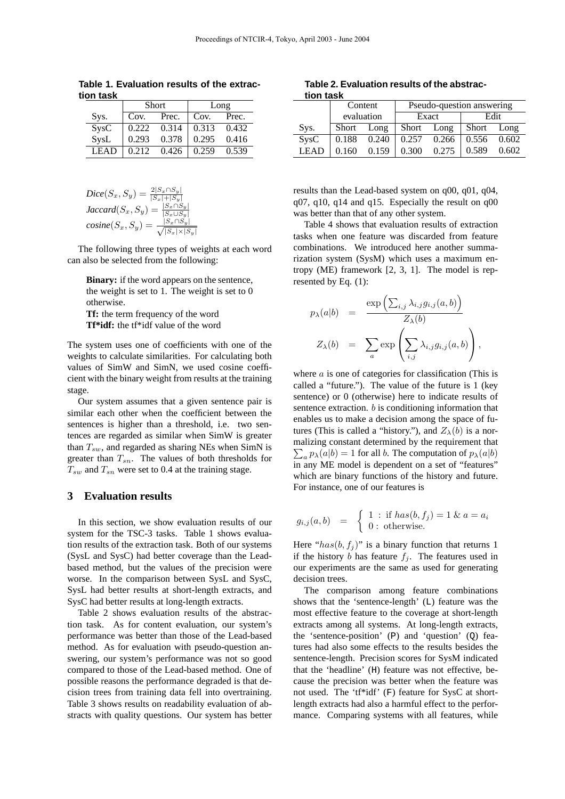|                   |       | <b>Short</b> | Long                |       |  |  |
|-------------------|-------|--------------|---------------------|-------|--|--|
| Sys.              | Cov.  | Prec.        | $\vert$ Cov.        | Prec. |  |  |
| S <sub>YS</sub> C | 0.222 | 0.314        | $\vert 0.313 \vert$ | 0.432 |  |  |
| SysL              | 0.293 | 0.378        | 0.295               | 0.416 |  |  |
| <b>LEAD</b>       | 0.212 | 0.426        | 0.259               | 0.539 |  |  |

**Table 1. Evaluation results of the extraction task**

$$
Dice(S_x, S_y) = \frac{2|S_x \cap S_y|}{|S_x| + |S_y|}
$$
  

$$
Jaccard(S_x, S_y) = \frac{|S_x \cap S_y|}{|S_x \cup S_y|}
$$
  

$$
cosine(S_x, S_y) = \frac{|S_x \cap S_y|}{\sqrt{|S_x| \times |S_y|}}
$$

The following three types of weights at each word can also be selected from the following:

**Binary:** if the word appears on the sentence, the weight is set to 1. The weight is set to 0 otherwise. **Tf:** the term frequency of the word **Tf\*idf:** the tf\*idf value of the word

The system uses one of coefficients with one of the weights to calculate similarities. For calculating both values of SimW and SimN, we used cosine coefficient with the binary weight from results at the training stage.

Our system assumes that a given sentence pair is similar each other when the coefficient between the sentences is higher than a threshold, i.e. two sentences are regarded as similar when SimW is greater than  $T_{sw}$ , and regarded as sharing NEs when SimN is greater than  $T_{sn}$ . The values of both thresholds for  $T_{sw}$  and  $T_{sn}$  were set to 0.4 at the training stage.

### **3 Evaluation results**

In this section, we show evaluation results of our system for the TSC-3 tasks. Table 1 shows evaluation results of the extraction task. Both of our systems (SysL and SysC) had better coverage than the Leadbased method, but the values of the precision were worse. In the comparison between SysL and SysC, SysL had better results at short-length extracts, and SysC had better results at long-length extracts.

Table 2 shows evaluation results of the abstraction task. As for content evaluation, our system's performance was better than those of the Lead-based method. As for evaluation with pseudo-question answering, our system's performance was not so good compared to those of the Lead-based method. One of possible reasons the performance degraded is that decision trees from training data fell into overtraining. Table 3 shows results on readability evaluation of abstracts with quality questions. Our system has better

**Table 2. Evaluation results of the abstraction task**

| uvu wu      |       |            |                           |       |            |       |  |  |  |
|-------------|-------|------------|---------------------------|-------|------------|-------|--|--|--|
|             |       | Content    | Pseudo-question answering |       |            |       |  |  |  |
|             |       | evaluation |                           | Exact | Edit       |       |  |  |  |
| Sys.        | Short | Long       | Short                     | Long  | Short Long |       |  |  |  |
| <b>SysC</b> | 0.188 | 0.240      | 0.257                     | 0.266 | 0.556      | 0.602 |  |  |  |
| <b>LEAD</b> | 0.160 | 0.159      | 0.300                     | 0.275 | 0.589      | 0.602 |  |  |  |

results than the Lead-based system on q00, q01, q04, q07, q10, q14 and q15. Especially the result on q00 was better than that of any other system.

Table 4 shows that evaluation results of extraction tasks when one feature was discarded from feature combinations. We introduced here another summarization system (SysM) which uses a maximum entropy (ME) framework [2, 3, 1]. The model is represented by Eq. (1):

$$
p_{\lambda}(a|b) = \frac{\exp\left(\sum_{i,j}\lambda_{i,j}g_{i,j}(a,b)\right)}{Z_{\lambda}(b)}
$$

$$
Z_{\lambda}(b) = \sum_{a} \exp\left(\sum_{i,j}\lambda_{i,j}g_{i,j}(a,b)\right),
$$

where  $a$  is one of categories for classification (This is called a "future."). The value of the future is 1 (key sentence) or 0 (otherwise) here to indicate results of sentence extraction.  $b$  is conditioning information that enables us to make a decision among the space of futures (This is called a "history."), and  $Z_{\lambda}(b)$  is a normalizing constant determined by the requirement that  $_{a} p_{\lambda}(a|b) = 1$  for all b. The computation of  $p_{\lambda}(a|b)$ in any ME model is dependent on a set of "features" which are binary functions of the history and future. For instance, one of our features is

$$
g_{i,j}(a,b) = \begin{cases} 1 : \text{if } has(b, f_j) = 1 \& a = a_i \\ 0 : \text{otherwise.} \end{cases}
$$

Here " $has(b, f<sub>i</sub>)$ " is a binary function that returns 1 if the history b has feature  $f_i$ . The features used in our experiments are the same as used for generating decision trees.

The comparison among feature combinations shows that the 'sentence-length' (L) feature was the most effective feature to the coverage at short-length extracts among all systems. At long-length extracts, the 'sentence-position' (P) and 'question' (Q) features had also some effects to the results besides the sentence-length. Precision scores for SysM indicated that the 'headline' (H) feature was not effective, because the precision was better when the feature was not used. The 'tf\*idf' (F) feature for SysC at shortlength extracts had also a harmful effect to the performance. Comparing systems with all features, while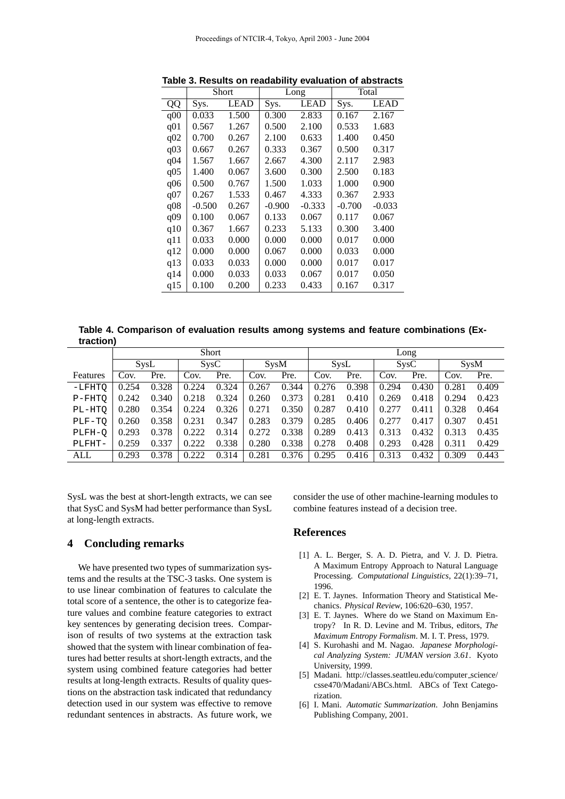|                 |          | Short       |                     | Long     | Total    |          |  |
|-----------------|----------|-------------|---------------------|----------|----------|----------|--|
| QQ              | Sys.     | <b>LEAD</b> | <b>LEAD</b><br>Sys. |          | Sys.     | LEAD     |  |
| q00             | 0.033    | 1.500       | 0.300               | 2.833    | 0.167    | 2.167    |  |
| q <sub>01</sub> | 0.567    | 1.267       | 0.500               | 2.100    | 0.533    | 1.683    |  |
| q <sub>02</sub> | 0.700    | 0.267       | 2.100               | 0.633    | 1.400    | 0.450    |  |
| q <sub>03</sub> | 0.667    | 0.267       | 0.333               | 0.367    | 0.500    | 0.317    |  |
| q <sub>04</sub> | 1.567    | 1.667       | 2.667               | 4.300    | 2.117    | 2.983    |  |
| q <sub>05</sub> | 1.400    | 0.067       | 3.600               | 0.300    | 2.500    | 0.183    |  |
| q06             | 0.500    | 0.767       | 1.500               | 1.033    | 1.000    | 0.900    |  |
| q07             | 0.267    | 1.533       | 0.467               | 4.333    | 0.367    | 2.933    |  |
| q08             | $-0.500$ | 0.267       | $-0.900$            | $-0.333$ | $-0.700$ | $-0.033$ |  |
| q09             | 0.100    | 0.067       | 0.133               | 0.067    | 0.117    | 0.067    |  |
| q10             | 0.367    | 1.667       | 0.233               | 5.133    | 0.300    | 3.400    |  |
| q11             | 0.033    | 0.000       | 0.000               | 0.000    | 0.017    | 0.000    |  |
| q12             | 0.000    | 0.000       | 0.067               | 0.000    | 0.033    | 0.000    |  |
| q13             | 0.033    | 0.033       | 0.000               | 0.000    | 0.017    | 0.017    |  |
| q14             | 0.000    | 0.033       | 0.033               | 0.067    | 0.017    | 0.050    |  |
| q15             | 0.100    | 0.200       | 0.233               | 0.433    | 0.167    | 0.317    |  |

**Table 3. Results on readability evaluation of abstracts**

**Table 4. Comparison of evaluation results among systems and feature combinations (Extraction)**

|          | <b>Short</b> |       |                   |       |             | Long  |       |       |                   |       |             |       |
|----------|--------------|-------|-------------------|-------|-------------|-------|-------|-------|-------------------|-------|-------------|-------|
|          | SysL         |       | S <sub>YS</sub> C |       | <b>SysM</b> |       | SysL  |       | S <sub>VS</sub> C |       | <b>SysM</b> |       |
| Features | Cov.         | Pre.  | Cov.              | Pre.  | Cov.        | Pre.  | Cov.  | Pre.  | Cov.              | Pre.  | Cov.        | Pre.  |
| $-LFHTO$ | 0.254        | 0.328 | 0.224             | 0.324 | 0.267       | 0.344 | 0.276 | 0.398 | 0.294             | 0.430 | 0.281       | 0.409 |
| $P-FHTO$ | 0.242        | 0.340 | 0.218             | 0.324 | 0.260       | 0.373 | 0.281 | 0.410 | 0.269             | 0.418 | 0.294       | 0.423 |
| PL-HTO   | 0.280        | 0.354 | 0.224             | 0.326 | 0.271       | 0.350 | 0.287 | 0.410 | 0.277             | 0.411 | 0.328       | 0.464 |
| PLF-TO   | 0.260        | 0.358 | 0.231             | 0.347 | 0.283       | 0.379 | 0.285 | 0.406 | 0.277             | 0.417 | 0.307       | 0.451 |
| PLFH-O   | 0.293        | 0.378 | 0.222             | 0.314 | 0.272       | 0.338 | 0.289 | 0.413 | 0.313             | 0.432 | 0.313       | 0.435 |
| PLFHT-   | 0.259        | 0.337 | 0.222             | 0.338 | 0.280       | 0.338 | 0.278 | 0.408 | 0.293             | 0.428 | 0.311       | 0.429 |
| ALL      | 0.293        | 0.378 | 0.222             | 0.314 | 0.281       | 0.376 | 0.295 | 0.416 | 0.313             | 0.432 | 0.309       | 0.443 |

SysL was the best at short-length extracts, we can see that SysC and SysM had better performance than SysL at long-length extracts.

### **4 Concluding remarks**

We have presented two types of summarization systems and the results at the TSC-3 tasks. One system is to use linear combination of features to calculate the total score of a sentence, the other is to categorize feature values and combine feature categories to extract key sentences by generating decision trees. Comparison of results of two systems at the extraction task showed that the system with linear combination of features had better results at short-length extracts, and the system using combined feature categories had better results at long-length extracts. Results of quality questions on the abstraction task indicated that redundancy detection used in our system was effective to remove redundant sentences in abstracts. As future work, we

consider the use of other machine-learning modules to combine features instead of a decision tree.

### **References**

- [1] A. L. Berger, S. A. D. Pietra, and V. J. D. Pietra. A Maximum Entropy Approach to Natural Language Processing. *Computational Linguistics*, 22(1):39–71, 1996.
- [2] E. T. Jaynes. Information Theory and Statistical Mechanics. *Physical Review*, 106:620–630, 1957.
- [3] E. T. Jaynes. Where do we Stand on Maximum Entropy? In R. D. Levine and M. Tribus, editors, *The Maximum Entropy Formalism*. M. I. T. Press, 1979.
- [4] S. Kurohashi and M. Nagao. *Japanese Morphological Analyzing System: JUMAN version 3.61*. Kyoto University, 1999.
- [5] Madani. http://classes.seattleu.edu/computer science/ csse470/Madani/ABCs.html. ABCs of Text Categorization.
- [6] I. Mani. *Automatic Summarization*. John Benjamins Publishing Company, 2001.